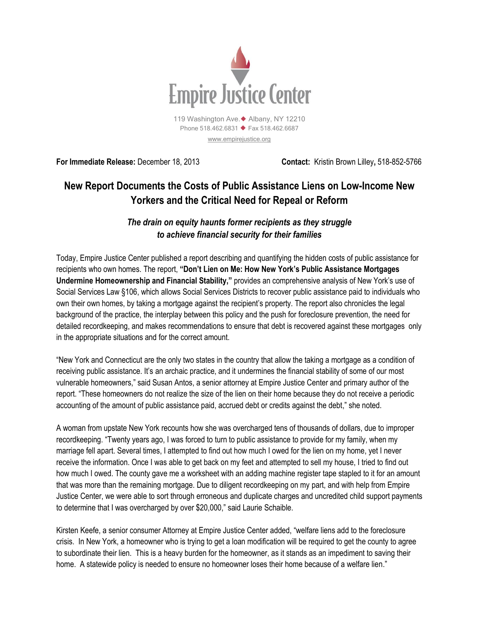

[www.empirejustice.org](http://www.empirejustice.org/)

**For Immediate Release:** December 18, 2013 **Contact:** Kristin Brown Lilley**,** 518-852-5766

## **New Report Documents the Costs of Public Assistance Liens on Low-Income New Yorkers and the Critical Need for Repeal or Reform**

## *The drain on equity haunts former recipients as they struggle to achieve financial security for their families*

Today, Empire Justice Center published a report describing and quantifying the hidden costs of public assistance for recipients who own homes. The report, **"Don't Lien on Me: How New York's Public Assistance Mortgages Undermine Homeownership and Financial Stability,"** provides an comprehensive analysis of New York's use of Social Services Law §106, which allows Social Services Districts to recover public assistance paid to individuals who own their own homes, by taking a mortgage against the recipient's property. The report also chronicles the legal background of the practice, the interplay between this policy and the push for foreclosure prevention, the need for detailed recordkeeping, and makes recommendations to ensure that debt is recovered against these mortgages only in the appropriate situations and for the correct amount.

"New York and Connecticut are the only two states in the country that allow the taking a mortgage as a condition of receiving public assistance. It's an archaic practice, and it undermines the financial stability of some of our most vulnerable homeowners," said Susan Antos, a senior attorney at Empire Justice Center and primary author of the report. "These homeowners do not realize the size of the lien on their home because they do not receive a periodic accounting of the amount of public assistance paid, accrued debt or credits against the debt," she noted.

A woman from upstate New York recounts how she was overcharged tens of thousands of dollars, due to improper recordkeeping. "Twenty years ago, I was forced to turn to public assistance to provide for my family, when my marriage fell apart. Several times, I attempted to find out how much I owed for the lien on my home, yet I never receive the information. Once I was able to get back on my feet and attempted to sell my house, I tried to find out how much I owed. The county gave me a worksheet with an adding machine register tape stapled to it for an amount that was more than the remaining mortgage. Due to diligent recordkeeping on my part, and with help from Empire Justice Center, we were able to sort through erroneous and duplicate charges and uncredited child support payments to determine that I was overcharged by over \$20,000," said Laurie Schaible.

Kirsten Keefe, a senior consumer Attorney at Empire Justice Center added, "welfare liens add to the foreclosure crisis. In New York, a homeowner who is trying to get a loan modification will be required to get the county to agree to subordinate their lien. This is a heavy burden for the homeowner, as it stands as an impediment to saving their home. A statewide policy is needed to ensure no homeowner loses their home because of a welfare lien."